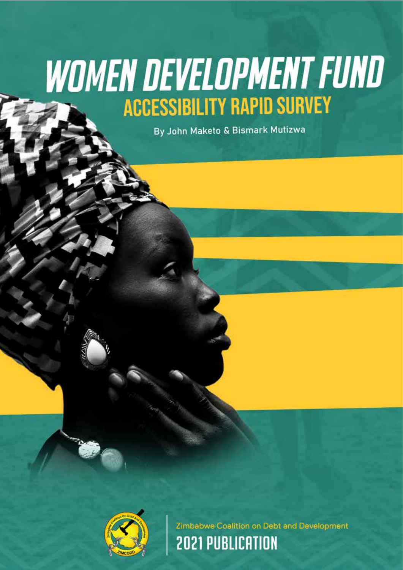# **WOMEN DEVELOPMENT FUND ACCESSIBILITY RAPID SURVEY**

By John Maketo & Bismark Mutizwa



Zimbabwe Coalition on Debt and Development **2021 PUBLICATION**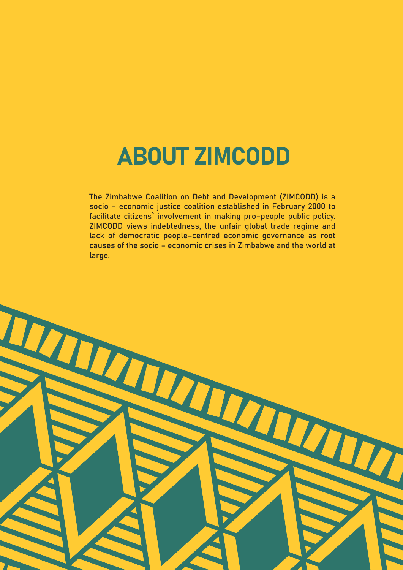## ABOUT ZIMCODD

The Zimbabwe Coalition on Debt and Development (ZIMCODD) is a socio – economic justice coalition established in February 2000 to facilitate citizens` involvement in making pro–people public policy. ZIMCODD views indebtedness, the unfair global trade regime and lack of democratic people–centred economic governance as root causes of the socio – economic crises in Zimbabwe and the world at large.

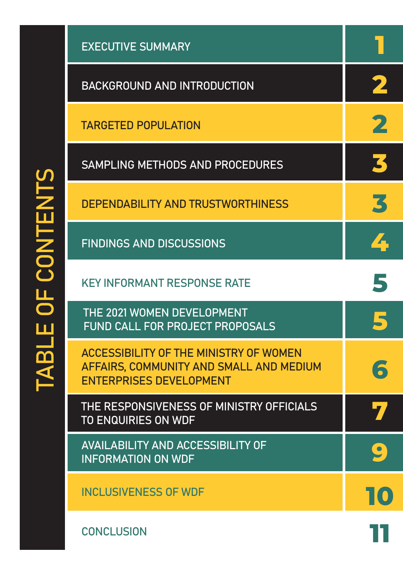| <b>UNIVANTS</b><br>$\overline{\mathcal{A}}$ | <b>EXECUTIVE SUMMARY</b>                                                                                            |           |
|---------------------------------------------|---------------------------------------------------------------------------------------------------------------------|-----------|
|                                             | <b>BACKGROUND AND INTRODUCTION</b>                                                                                  |           |
|                                             | <b>TARGETED POPULATION</b>                                                                                          |           |
|                                             | SAMPLING METHODS AND PROCEDURES                                                                                     |           |
|                                             | <b>DEPENDABILITY AND TRUSTWORTHINESS</b>                                                                            | K         |
|                                             | <b>FINDINGS AND DISCUSSIONS</b>                                                                                     |           |
|                                             | <b>KEY INFORMANT RESPONSE RATE</b>                                                                                  |           |
|                                             | THE 2021 WOMEN DEVELOPMENT<br><b>FUND CALL FOR PROJECT PROPOSALS</b>                                                |           |
|                                             | ACCESSIBILITY OF THE MINISTRY OF WOMEN<br>AFFAIRS, COMMUNITY AND SMALL AND MEDIUM<br><b>ENTERPRISES DEVELOPMENT</b> |           |
|                                             | THE RESPONSIVENESS OF MINISTRY OFFICIALS<br><b>TO ENQUIRIES ON WDF</b>                                              |           |
|                                             | <b>AVAILABILITY AND ACCESSIBILITY OF</b><br><b>INFORMATION ON WDF</b>                                               | $\bullet$ |
|                                             | <b>INCLUSIVENESS OF WDF</b>                                                                                         |           |
|                                             | <b>CONCLUSION</b>                                                                                                   |           |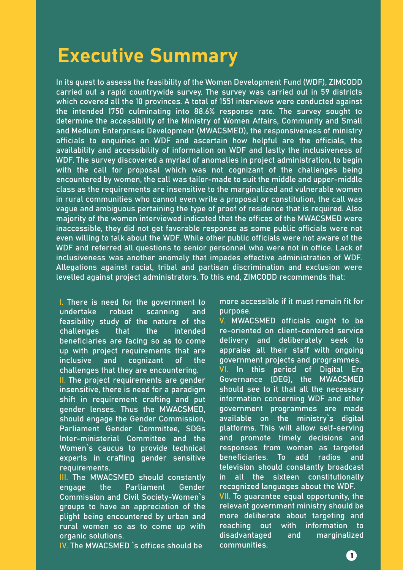### Executive Summary

In its quest to assess the feasibility of the Women Development Fund (WDF), ZIMCODD carried out a rapid countrywide survey. The survey was carried out in 59 districts which covered all the 10 provinces. A total of 1551 interviews were conducted against the intended 1750 culminating into 88.6% response rate. The survey sought to determine the accessibility of the Ministry of Women Affairs, Community and Small and Medium Enterprises Development (MWACSMED), the responsiveness of ministry officials to enquiries on WDF and ascertain how helpful are the officials, the availability and accessibility of information on WDF and lastly the inclusiveness of WDF. The survey discovered a myriad of anomalies in project administration, to begin with the call for proposal which was not cognizant of the challenges being encountered by women, the call was tailor-made to suit the middle and upper-middle class as the requirements are insensitive to the marginalized and vulnerable women in rural communities who cannot even write a proposal or constitution, the call was vague and ambiguous pertaining the type of proof of residence that is required. Also majority of the women interviewed indicated that the offices of the MWACSMED were inaccessible, they did not get favorable response as some public officials were not even willing to talk about the WDF. While other public officials were not aware of the WDF and referred all questions to senior personnel who were not in office. Lack of inclusiveness was another anomaly that impedes effective administration of WDF. Allegations against racial, tribal and partisan discrimination and exclusion were levelled against project administrators. To this end, ZIMCODD recommends that:

I. There is need for the government to undertake robust scanning and feasibility study of the nature of the challenges that the intended beneficiaries are facing so as to come up with project requirements that are inclusive and cognizant of the challenges that they are encountering.

II. The project requirements are gender insensitive, there is need for a paradigm shift in requirement crafting and put gender lenses. Thus the MWACSMED, should engage the Gender Commission, Parliament Gender Committee, SDGs Inter-ministerial Committee and the Women`s caucus to provide technical experts in crafting gender sensitive requirements.

III. The MWACSMED should constantly engage the Parliament Gender Commission and Civil Society-Women`s groups to have an appreciation of the plight being encountered by urban and rural women so as to come up with organic solutions.

IV. The MWACSMED `s offices should be

more accessible if it must remain fit for purpose.

V. MWACSMED officials ought to be re-oriented on client-centered service delivery and deliberately seek to appraise all their staff with ongoing government projects and programmes. VI. In this period of Digital Era Governance (DEG), the MWACSMED should see to it that all the necessary information concerning WDF and other government programmes are made available on the ministry`s digital platforms. This will allow self-serving and promote timely decisions and responses from women as targeted beneficiaries. To add radios and television should constantly broadcast in all the sixteen constitutionally recognized languages about the WDF. VII. To guarantee equal opportunity, the relevant government ministry should be more deliberate about targeting and reaching out with information to disadvantaged and marginalized communities.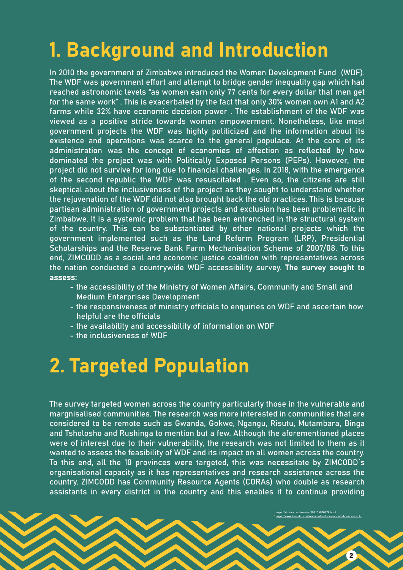## 1. Background and Introduction

In 2010 the government of Zimbabwe introduced the Women Development Fund (WDF). The WDF was government effort and attempt to bridge gender inequality gap which had reached astronomic levels "as women earn only 77 cents for every dollar that men get for the same work" . This is exacerbated by the fact that only 30% women own A1 and A2 farms while 32% have economic decision power . The establishment of the WDF was viewed as a positive stride towards women empowerment. Nonetheless, like most government projects the WDF was highly politicized and the information about its existence and operations was scarce to the general populace. At the core of its administration was the concept of economies of affection as reflected by how dominated the project was with Politically Exposed Persons (PEPs). However, the project did not survive for long due to financial challenges. In 2018, with the emergence of the second republic the WDF was resuscitated . Even so, the citizens are still skeptical about the inclusiveness of the project as they sought to understand whether the rejuvenation of the WDF did not also brought back the old practices. This is because partisan administration of government projects and exclusion has been problematic in Zimbabwe. It is a systemic problem that has been entrenched in the structural system of the country. This can be substantiated by other national projects which the government implemented such as the Land Reform Program (LRP), Presidential Scholarships and the Reserve Bank Farm Mechanisation Scheme of 2007/08. To this end, ZIMCODD as a social and economic justice coalition with representatives across the nation conducted a countrywide WDF accessibility survey. The survey sought to assess:

- the accessibility of the Ministry of Women Affairs, Community and Small and Medium Enterprises Development
- the responsiveness of ministry officials to enquiries on WDF and ascertain how helpful are the officials
- the availability and accessibility of information on WDF
- the inclusiveness of WDF

### 2. Targeted Population

The survey targeted women across the country particularly those in the vulnerable and margnisalised communities. The research was more interested in communities that are considered to be remote such as Gwanda, Gokwe, Ngangu, Risutu, Mutambara, Binga and Tsholosho and Rushinga to mention but a few. Although the aforementioned places were of interest due to their vulnerability, the research was not limited to them as it wanted to assess the feasibility of WDF and its impact on all women across the country. To this end, all the 10 provinces were targeted, this was necessitate by ZIMCODD`s organisational capacity as it has representatives and research assistance across the country. ZIMCODD has Community Resource Agents (CORAs) who double as research assistants in every district in the country and this enables it to continue providing

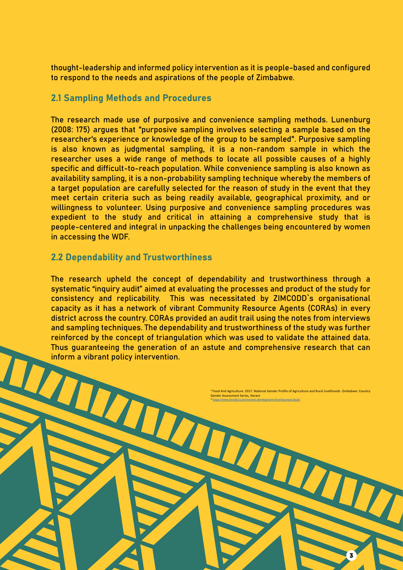thought-leadership and informed policy intervention as it is people-based and configured to respond to the needs and aspirations of the people of Zimbabwe.

#### 2.1 Sampling Methods and Procedures

The research made use of purposive and convenience sampling methods. Lunenburg (2008: 175) argues that "purposive sampling involves selecting a sample based on the researcher's experience or knowledge of the group to be sampled". Purposive sampling is also known as judgmental sampling, it is a non-random sample in which the researcher uses a wide range of methods to locate all possible causes of a highly specific and difficult-to-reach population. While convenience sampling is also known as availability sampling, it is a non-probability sampling technique whereby the members of a target population are carefully selected for the reason of study in the event that they meet certain criteria such as being readily available, geographical proximity, and or willingness to volunteer. Using purposive and convenience sampling procedures was expedient to the study and critical in attaining a comprehensive study that is people-centered and integral in unpacking the challenges being encountered by women in accessing the WDF.

#### 2.2 Dependability and Trustworthiness

The research upheld the concept of dependability and trustworthiness through a systematic "inquiry audit" aimed at evaluating the processes and product of the study for consistency and replicability. This was necessitated by ZIMCODD`s organisational capacity as it has a network of vibrant Community Resource Agents (CORAs) in every district across the country. CORAs provided an audit trail using the notes from interviews and sampling techniques. The dependability and trustworthiness of the study was further reinforced by the concept of triangulation which was used to validate the attained data. Thus guaranteeing the generation of an astute and comprehensive research that can inform a vibrant policy intervention.

W

<sup>3</sup> Food And Agriculture. 2017. National Gender Profile of Agriculture and Rural Livelihoods- Zimb Gender Assessment Series, Harare <sup>4</sup> https://www.herald.co.zw/women-development-fund-bounces-back/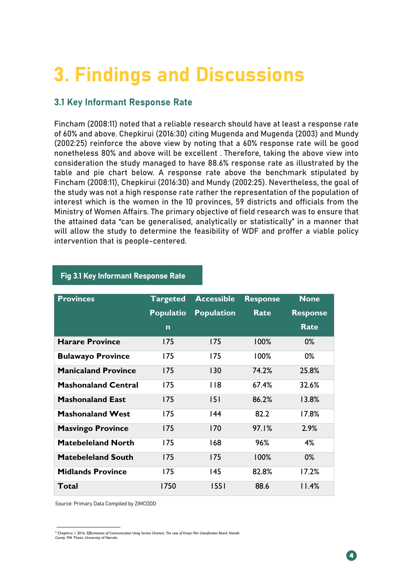### 3. Findings and Discussions districts based on the findings from the CORA monthly surveys.

#### $\mathcal{L}(\mathcal{A})$  and  $\mathcal{L}(\mathcal{A})$  are considered in  $\mathcal{L}(\mathcal{A})$  and  $\mathcal{L}(\mathcal{A})$  are considered in  $\mathcal{L}(\mathcal{A})$ 3.1 Key Informant Response Rate

Fincham (2008:11) noted that a reliable research should have at least a response rate nonetheless 80% and above will be excellent . Therefore, taking the above view into noncencessed sext and above with be excettent the existency, taking the above view michael consideration the study managed to have 88.6% response rate as illustrated by the different different different districts where contained to the series of the stricts of the state and pie chart below. A response rate above the benchmark stipulated by indicated that they were aware of the existence of public resources while only three were not Fincham (2008:11), Chepkirui (2016:30) and Mundy (2002:25). Nevertheless, the goal of the study was not a high response rate rather the representation of the population of interest which is the women in the 10 provinces, 59 districts and officials from the of 60% and above. Chepkirui (2016:30) citing Mugenda and Mugenda (2003) and Mundy (2002:25) reinforce the above view by noting that a 60% response rate will be good Ministry of Women Affairs. The primary objective of field research was to ensure that the attained data "can be generalised, analytically or statistically" in a manner that will allow the study to determine the feasibility of WDF and proffer a viable policy intervention that is people-centered.

| <b>Provinces</b>           | <b>Targeted</b>  | <b>Accessible</b> | <b>Response</b> | <b>None</b>     |
|----------------------------|------------------|-------------------|-----------------|-----------------|
|                            | <b>Populatio</b> | <b>Population</b> | <b>Rate</b>     | <b>Response</b> |
|                            | $\mathbf n$      |                   |                 | Rate            |
| <b>Harare Province</b>     | 175              | 175               | $100\%$         | $0\%$           |
| <b>Bulawayo Province</b>   | 175              | 175               | $100\%$         | 0%              |
| <b>Manicaland Province</b> | 175              | 130               | 74.2%           | 25.8%           |
| <b>Mashonaland Central</b> | 175              | <b>118</b>        | 67.4%           | 32.6%           |
| <b>Mashonaland East</b>    | 175              | 151               | 86.2%           | 13.8%           |
| <b>Mashonaland West</b>    | 175              | 44                | 82.2            | 17.8%           |
| <b>Masvingo Province</b>   | 175              | 170               | 97.1%           | 2.9%            |
| <b>Matebeleland North</b>  | 175              | 168               | 96%             | 4%              |
| <b>Matebeleland South</b>  | 175              | 175               | 100%            | $0\%$           |
| <b>Midlands Province</b>   | 175              | 145               | 82.8%           | 17.2%           |
| Total                      | 1750             | 1551              | 88.6            | 11.4%           |

#### Fig 3.1 Key Informant Response Rate

Source: Primary Data Compiled by ZIMCODD

<sup>&</sup>lt;sup>3</sup> Chepkirui, I. 2016. Effectiveness of Communication Using Service Charters: The case of Kenya Film Classification Board, Nairob *County*. MA Thesis. University of Nairobi.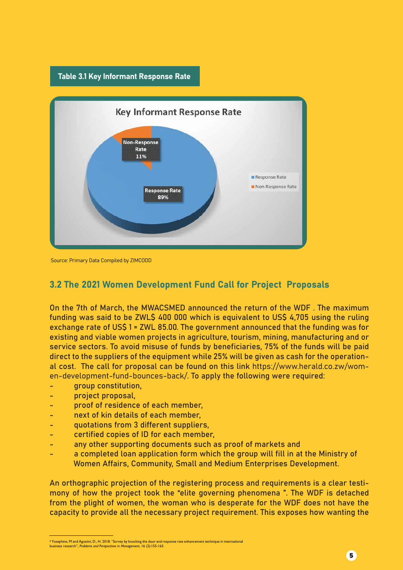



Source: Primary Data Compiled by ZIMCODD

#### 3.2 The 2021 Women Development Fund Call for Project Proposals

On the 7th of March, the MWACSMED announced the return of the WDF . The maximum funding was said to be ZWL\$ 400 000 which is equivalent to US\$ 4,705 using the ruling exchange rate of US\$ 1 = ZWL 85.00. The government announced that the funding was for existing and viable women projects in agriculture, tourism, mining, manufacturing and or service sectors. To avoid misuse of funds by beneficiaries, 75% of the funds will be paid direct to the suppliers of the equipment while 25% will be given as cash for the operational cost. The call for proposal can be found on this link https://www.herald.co.zw/women-development-fund-bounces-back/. To apply the following were required:

- group constitution,
- project proposal,
- proof of residence of each member.
- next of kin details of each member,
- quotations from 3 different suppliers,
- certified copies of ID for each member.
- any other supporting documents such as proof of markets and
- a completed loan application form which the group will fill in at the Ministry of Women Affairs, Community, Small and Medium Enterprises Development.

An orthographic projection of the registering process and requirements is a clear testimony of how the project took the "elite governing phenomena ". The WDF is detached from the plight of women, the woman who is desperate for the WDF does not have the capacity to provide all the necessary project requirement. This exposes how wanting the

<sup>4</sup> Yosephine, M and Agustini, D., H. 2018. "Survey by knocking the door and response rate enhancement technique in international<br>business research", Problems and Perspectives in Management, 16 (2):155-163.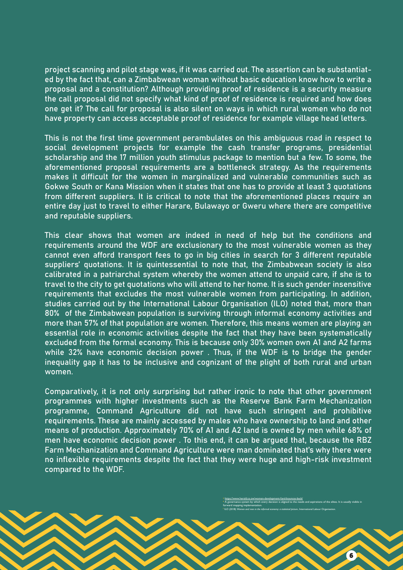project scanning and pilot stage was, if it was carried out. The assertion can be substantiated by the fact that, can a Zimbabwean woman without basic education know how to write a proposal and a constitution? Although providing proof of residence is a security measure the call proposal did not specify what kind of proof of residence is required and how does one get it? The call for proposal is also silent on ways in which rural women who do not have property can access acceptable proof of residence for example village head letters.

This is not the first time government perambulates on this ambiguous road in respect to social development projects for example the cash transfer programs, presidential scholarship and the 17 million youth stimulus package to mention but a few. To some, the aforementioned proposal requirements are a bottleneck strategy. As the requirements makes it difficult for the women in marginalized and vulnerable communities such as Gokwe South or Kana Mission when it states that one has to provide at least 3 quotations from different suppliers. It is critical to note that the aforementioned places require an entire day just to travel to either Harare, Bulawayo or Gweru where there are competitive and reputable suppliers.

This clear shows that women are indeed in need of help but the conditions and requirements around the WDF are exclusionary to the most vulnerable women as they cannot even afford transport fees to go in big cities in search for 3 different reputable suppliers' quotations. It is quintessential to note that, the Zimbabwean society is also calibrated in a patriarchal system whereby the women attend to unpaid care, if she is to travel to the city to get quotations who will attend to her home. It is such gender insensitive requirements that excludes the most vulnerable women from participating. In addition, studies carried out by the International Labour Organisation (ILO) noted that, more than 80% of the Zimbabwean population is surviving through informal economy activities and more than 57% of that population are women. Therefore, this means women are playing an essential role in economic activities despite the fact that they have been systematically excluded from the formal economy. This is because only 30% women own A1 and A2 farms while 32% have economic decision power . Thus, if the WDF is to bridge the gender inequality gap it has to be inclusive and cognizant of the plight of both rural and urban women.

Comparatively, it is not only surprising but rather ironic to note that other government programmes with higher investments such as the Reserve Bank Farm Mechanization programme, Command Agriculture did not have such stringent and prohibitive requirements. These are mainly accessed by males who have ownership to land and other means of production. Approximately 70% of A1 and A2 land is owned by men while 68% of men have economic decision power . To this end, it can be argued that, because the RBZ Farm Mechanization and Command Agriculture were man dominated that's why there were no inflexible requirements despite the fact that they were huge and high-risk investment compared to the WDF.

> <sup>5</sup> https://www.herald.co.zw/women-development-fund-bounces-back/ <sup>6</sup> A governance system by which every decision is aligned to the needs and aspirations of the elites. It is usually visible in forward mapping implementation. <sup>7</sup> ILO (2018) *Women and men in the informal economy: a statistical picture*, International Labour Organisation.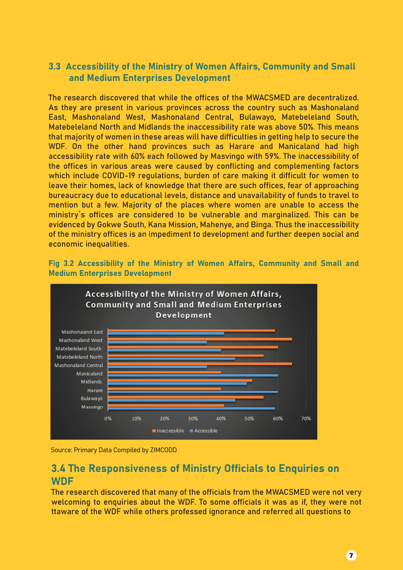#### 3.3 Accessibility of the Ministry of Women Affairs, Community and Small and Medium Enterprises Development

The research discovered that while the offices of the MWACSMED are decentralized. As they are present in various provinces across the country such as Mashonaland East, Mashonaland West, Mashonaland Central, Bulawayo, Matebeleland South, Matebeleland North and Midlands the inaccessibility rate was above 50%. This means that majority of women in these areas will have difficulties in getting help to secure the WDF. On the other hand provinces such as Harare and Manicaland had high accessibility rate with 60% each followed by Masvingo with 59%. The inaccessibility of the offices in various areas were caused by conflicting and complementing factors which include COVID-19 regulations, burden of care making it difficult for women to leave their homes, lack of knowledge that there are such offices, fear of approaching bureaucracy due to educational levels, distance and unavailability of funds to travel to mention but a few. Majority of the places where women are unable to access the ministry`s offices are considered to be vulnerable and marginalized. This can be evidenced by Gokwe South, Kana Mission, Mahenye, and Binga. Thus the inaccessibility of the ministry offices is an impediment to development and further deepen social and economic inequalities.





Source: Primary Data Compiled by ZIMCODD

#### 3.4 The Responsiveness of Ministry Officials to Enquiries on **WDF**

The research discovered that many of the officials from the MWACSMED were not very welcoming to enquiries about the WDF. To some officials it was as if, they were not ttaware of the WDF while others professed ignorance and referred all questions to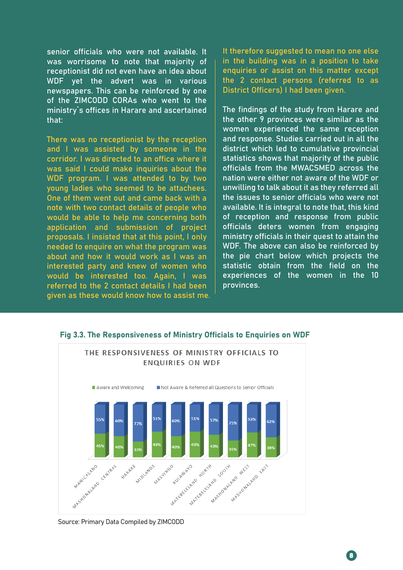senior officials who were not available. It was worrisome to note that majority of receptionist did not even have an idea about WDF yet the advert was in various newspapers. This can be reinforced by one of the ZIMCODD CORAs who went to the ministry`s offices in Harare and ascertained that:

There was no receptionist by the reception and I was assisted by someone in the corridor. I was directed to an office where it was said I could make inquiries about the WDF program. I was attended to by two young ladies who seemed to be attachees. One of them went out and came back with a note with two contact details of people who would be able to help me concerning both application and submission of project proposals. I insisted that at this point, I only needed to enquire on what the program was about and how it would work as I was an interested party and knew of women who would be interested too. Again, I was referred to the 2 contact details I had been given as these would know how to assist me. It therefore suggested to mean no one else in the building was in a position to take enquiries or assist on this matter except the 2 contact persons (referred to as District Officers) I had been given.

The findings of the study from Harare and the other 9 provinces were similar as the women experienced the same reception and response. Studies carried out in all the district which led to cumulative provincial statistics shows that majority of the public officials from the MWACSMED across the nation were either not aware of the WDF or unwilling to talk about it as they referred all the issues to senior officials who were not available. It is integral to note that, this kind of reception and response from public officials deters women from engaging ministry officials in their quest to attain the WDF. The above can also be reinforced by the pie chart below which projects the statistic obtain from the field on the experiences of the women in the 10 provinces.



#### Fig 3.3. The Responsiveness of Ministry Officials to Enquiries on WDF

Source: Primary Data Compiled by ZIMCODD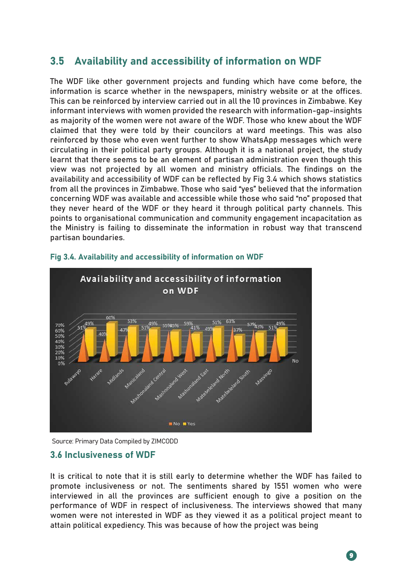### 3.5 Availability and accessibility of information on WDF

The WDF like other government projects and funding which have come before, the information is scarce whether in the newspapers, ministry website or at the offices. This can be reinforced by interview carried out in all the 10 provinces in Zimbabwe. Key informant interviews with women provided the research with information-gap-insights as majority of the women were not aware of the WDF. Those who knew about the WDF claimed that they were told by their councilors at ward meetings. This was also reinforced by those who even went further to show WhatsApp messages which were circulating in their political party groups. Although it is a national project, the study learnt that there seems to be an element of partisan administration even though this view was not projected by all women and ministry officials. The findings on the availability and accessibility of WDF can be reflected by Fig 3.4 which shows statistics from all the provinces in Zimbabwe. Those who said "yes" believed that the information concerning WDF was available and accessible while those who said "no" proposed that they never heard of the WDF or they heard it through political party channels. This points to organisational communication and community engagement incapacitation as the Ministry is failing to disseminate the information in robust way that transcend partisan boundaries.



#### Fig 3.4. Availability and accessibility of information on WDF

Source: Primary Data Compiled by ZIMCODD

#### 3.6 Inclusiveness of WDF

It is critical to note that it is still early to determine whether the WDF has failed to promote inclusiveness or not. The sentiments shared by 1551 women who were interviewed in all the provinces are sufficient enough to give a position on the performance of WDF in respect of inclusiveness. The interviews showed that many women were not interested in WDF as they viewed it as a political project meant to attain political expediency. This was because of how the project was being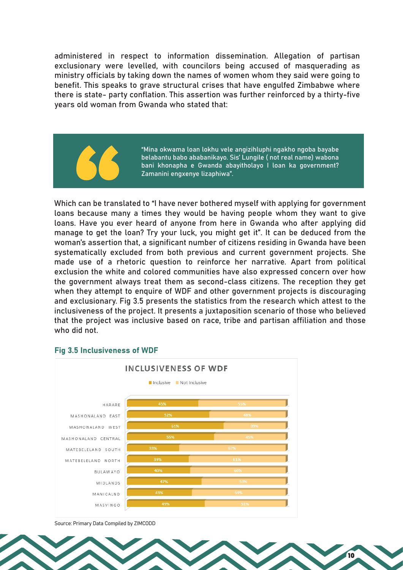administered in respect to information dissemination. Allegation of partisan exclusionary were levelled, with councilors being accused of masquerading as ministry officials by taking down the names of women whom they said were going to benefit. This speaks to grave structural crises that have engulfed Zimbabwe where there is state- party conflation. This assertion was further reinforced by a thirty-five years old woman from Gwanda who stated that:



"Mina okwama loan lokhu vele angizihluphi ngakho ngoba bayabe belabantu babo ababanikayo. Sis' Lungile ( not real name) wabona bani khonapha e Gwanda abayitholayo I loan ka government? Zamanini engxenye lizaphiwa".

10

Which can be translated to "I have never bothered myself with applying for government loans because many a times they would be having people whom they want to give loans. Have you ever heard of anyone from here in Gwanda who after applying did manage to get the loan? Try your luck, you might get it". It can be deduced from the woman's assertion that, a significant number of citizens residing in Gwanda have been systematically excluded from both previous and current government projects. She made use of a rhetoric question to reinforce her narrative. Apart from political exclusion the white and colored communities have also expressed concern over how the government always treat them as second-class citizens. The reception they get when they attempt to enquire of WDF and other government projects is discouraging and exclusionary. Fig 3.5 presents the statistics from the research which attest to the inclusiveness of the project. It presents a juxtaposition scenario of those who believed that the project was inclusive based on race, tribe and partisan affiliation and those who did not.



#### Fig 3.5 Inclusiveness of WDF

Source: Primary Data Compiled by ZIMCODD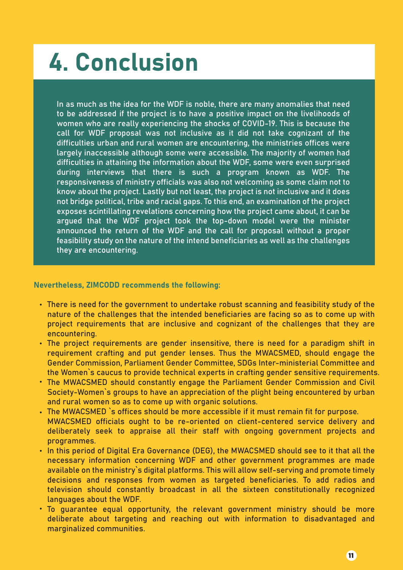# 4. Conclusion

In as much as the idea for the WDF is noble, there are many anomalies that need to be addressed if the project is to have a positive impact on the livelihoods of women who are really experiencing the shocks of COVID-19. This is because the call for WDF proposal was not inclusive as it did not take cognizant of the difficulties urban and rural women are encountering, the ministries offices were largely inaccessible although some were accessible. The majority of women had difficulties in attaining the information about the WDF, some were even surprised during interviews that there is such a program known as WDF. The responsiveness of ministry officials was also not welcoming as some claim not to know about the project. Lastly but not least, the project is not inclusive and it does not bridge political, tribe and racial gaps. To this end, an examination of the project exposes scintillating revelations concerning how the project came about, it can be argued that the WDF project took the top-down model were the minister announced the return of the WDF and the call for proposal without a proper feasibility study on the nature of the intend beneficiaries as well as the challenges they are encountering.

#### Nevertheless, ZIMCODD recommends the following:

- There is need for the government to undertake robust scanning and feasibility study of the nature of the challenges that the intended beneficiaries are facing so as to come up with project requirements that are inclusive and cognizant of the challenges that they are encountering.
- The project requirements are gender insensitive, there is need for a paradigm shift in requirement crafting and put gender lenses. Thus the MWACSMED, should engage the Gender Commission, Parliament Gender Committee, SDGs Inter-ministerial Committee and the Women`s caucus to provide technical experts in crafting gender sensitive requirements.
- The MWACSMED should constantly engage the Parliament Gender Commission and Civil Society-Women`s groups to have an appreciation of the plight being encountered by urban and rural women so as to come up with organic solutions.
- The MWACSMED `s offices should be more accessible if it must remain fit for purpose. MWACSMED officials ought to be re-oriented on client-centered service delivery and deliberately seek to appraise all their staff with ongoing government projects and programmes.
- In this period of Digital Era Governance (DEG), the MWACSMED should see to it that all the necessary information concerning WDF and other government programmes are made available on the ministry`s digital platforms. This will allow self-serving and promote timely decisions and responses from women as targeted beneficiaries. To add radios and television should constantly broadcast in all the sixteen constitutionally recognized languages about the WDF.
- To guarantee equal opportunity, the relevant government ministry should be more deliberate about targeting and reaching out with information to disadvantaged and marginalized communities.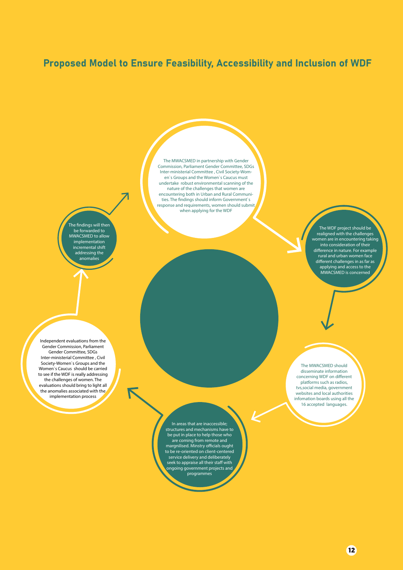#### Proposed Model to Ensure Feasibility, Accessibility and Inclusion of WDF

The findings will then be forwarded to MWACSMED to allow implementation incremental shift addressing the anomalies

The MWACSMED in partnership with Gender Commission, Parliament Gender Committee, SDGs Inter-ministerial Committee , Civil Society-Women`s Groups and the Women`s Caucus must undertake robust environmental scanning of the nature of the challenges that women are encountering both in Urban and Rural Communities. The findings should inform Government`s response and requirements, women should submit when applying for the WDF

> The WDF project should be realigned with the challenges women are in encountering taking into consideration of their difference in nature. For example rural and urban women face  $d$ ifferent challenges in as far as applying and access to the MWACSMED is concerned

Independent evaluations from the Gender Commission, Parliament Gender Committee, SDGs Inter-ministerial Committee , Civil Society-Women`s Groups and the Women`s Caucus should be carried to see if the WDF is really addressing the challenges of women. The evaluations should bring to light all the anomalies associated with the implementation process

> In areas that are inaccessible; structures and mechanisms have to be put in place to help those who are coming from remote and margnilised. Minstry officials ought to be re-oriented on client-centered service delivery and deliberately seek to appraise all their staff with ongoing government projects and programmes

The MWACSMED should disseminate information concerning WDF on different platforms such as radios, tvs,social media, government websites and local authorities infomation boards using all the 16 accepted languages.